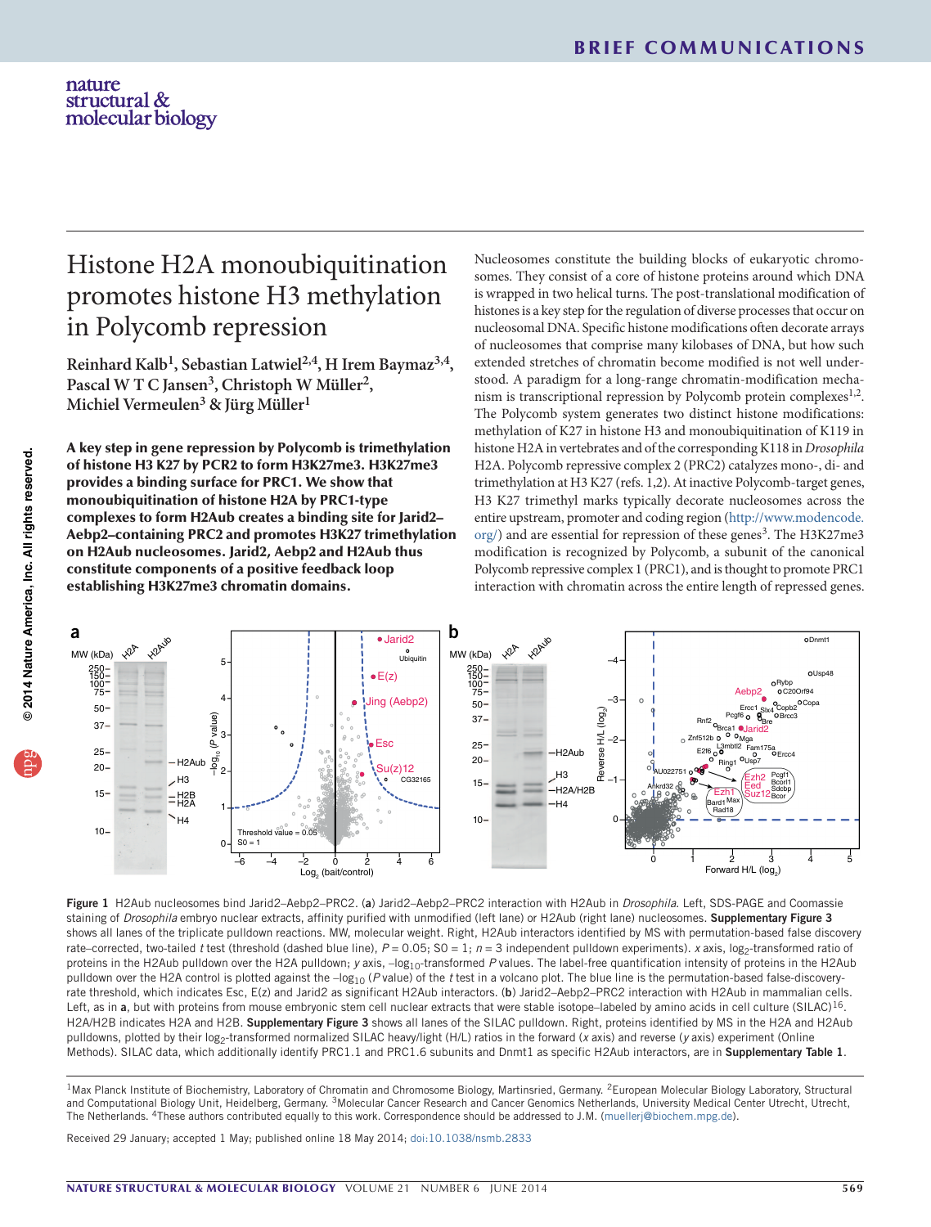# nature structural &<br>molecular biology

# Histone H2A monoubiquitination promotes histone H3 methylation in Polycomb repression

**Reinhard Kalb1, Sebastian Latwiel2,4, H Irem Baymaz3,4,**  Pascal W T C Jansen<sup>3</sup>, Christoph W Müller<sup>2</sup>, **Michiel Vermeulen3 & Jürg Müller1**

A key step in gene repression by Polycomb is trimethylation of histone H3 K27 by PCR2 to form H3K27me3. H3K27me3 provides a binding surface for PRC1. We show that monoubiquitination of histone H2A by PRC1-type complexes to form H2Aub creates a binding site for Jarid2– Aebp2–containing PRC2 and promotes H3K27 trimethylation on H2Aub nucleosomes. Jarid2, Aebp2 and H2Aub thus constitute components of a positive feedback loop establishing H3K27me3 chromatin domains.

Nucleosomes constitute the building blocks of eukaryotic chromosomes. They consist of a core of histone proteins around which DNA is wrapped in two helical turns. The post-translational modification of histones is a key step for the regulation of diverse processes that occur on nucleosomal DNA. Specific histone modifications often decorate arrays of nucleosomes that comprise many kilobases of DNA, but how such extended stretches of chromatin become modified is not well understood. A paradigm for a long-range chromatin-modification mechanism is transcriptional repression by Polycomb protein complexes $1,2$ . The Polycomb system generates two distinct histone modifications: methylation of K27 in histone H3 and monoubiquitination of K119 in histone H2A in vertebrates and of the corresponding K118 in *Drosophila* H2A. Polycomb repressive complex 2 (PRC2) catalyzes mono-, di- and trimethylation at H3 K27 (refs. 1,2). At inactive Polycomb-target genes, H3 K27 trimethyl marks typically decorate nucleosomes across the entire upstream, promoter and coding region [\(http://www.modencode.](http://www.modencode.org/) [org/\)](http://www.modencode.org/) and are essential for repression of these genes<sup>3</sup>. The H3K27me3 modification is recognized by Polycomb, a subunit of the canonical Polycomb repressive complex 1 (PRC1), and is thought to promote PRC1 interaction with chromatin across the entire length of repressed genes.



Figure 1 H2Aub nucleosomes bind Jarid2–Aebp2–PRC2. (a) Jarid2–Aebp2–PRC2 interaction with H2Aub in *Drosophila*. Left, SDS-PAGE and Coomassie staining of *Drosophila* embryo nuclear extracts, affinity purified with unmodified (left lane) or H2Aub (right lane) nucleosomes. Supplementary Figure 3 shows all lanes of the triplicate pulldown reactions. MW, molecular weight. Right, H2Aub interactors identified by MS with permutation-based false discovery rate–corrected, two-tailed *t* test (threshold (dashed blue line),  $P = 0.05$ ; SO = 1;  $n = 3$  independent pulldown experiments). *x* axis, log<sub>2</sub>-transformed ratio of proteins in the H2Aub pulldown over the H2A pulldown; *y* axis, -log<sub>10</sub>-transformed P values. The label-free quantification intensity of proteins in the H2Aub pulldown over the H2A control is plotted against the -log<sub>10</sub> (P value) of the *t* test in a volcano plot. The blue line is the permutation-based false-discoveryrate threshold, which indicates Esc, E(z) and Jarid2 as significant H2Aub interactors. (b) Jarid2–Aebp2–PRC2 interaction with H2Aub in mammalian cells. Left, as in a, but with proteins from mouse embryonic stem cell nuclear extracts that were stable isotope-labeled by amino acids in cell culture (SILAC)<sup>16</sup>. H2A/H2B indicates H2A and H2B. Supplementary Figure 3 shows all lanes of the SILAC pulldown. Right, proteins identified by MS in the H2A and H2Aub pulldowns, plotted by their log<sub>2</sub>-transformed normalized SILAC heavy/light (H/L) ratios in the forward (*x* axis) and reverse (*y* axis) experiment (Online Methods). SILAC data, which additionally identify PRC1.1 and PRC1.6 subunits and Dnmt1 as specific H2Aub interactors, are in Supplementary Table 1.

<sup>1</sup>Max Planck Institute of Biochemistry, Laboratory of Chromatin and Chromosome Biology, Martinsried, Germany. <sup>2</sup>European Molecular Biology Laboratory, Structural and Computational Biology Unit, Heidelberg, Germany. <sup>3</sup>Molecular Cancer Research and Cancer Genomics Netherlands, University Medical Center Utrecht, Utrecht, The Netherlands. 4These authors contributed equally to this work. Correspondence should be addressed to J.M. ([muellerj@biochem.mpg.de\)](mailto:muellerj@biochem.mpg.de).

Received 29 January; accepted 1 May; published online 18 May 2014; [doi:10.1038/nsmb.2833](http://www.nature.com/doifinder/10.1038/nsmb.2833)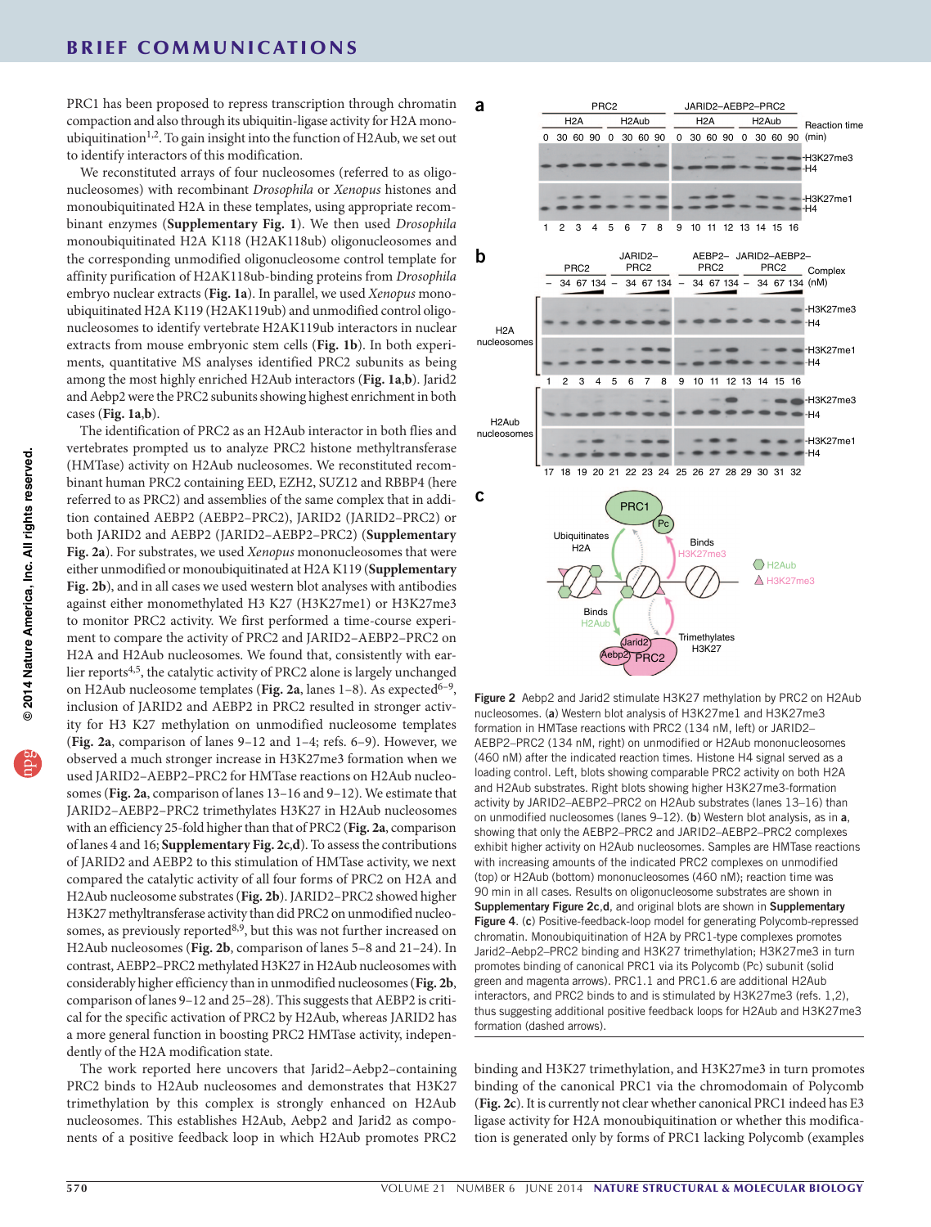PRC1 has been proposed to repress transcription through chromatin compaction and also through its ubiquitin-ligase activity for H2A monoubiquitination<sup>1,2</sup>. To gain insight into the function of H2Aub, we set out to identify interactors of this modification.

We reconstituted arrays of four nucleosomes (referred to as oligonucleosomes) with recombinant *Drosophila* or *Xenopus* histones and monoubiquitinated H2A in these templates, using appropriate recombinant enzymes (**Supplementary Fig. 1**). We then used *Drosophila* monoubiquitinated H2A K118 (H2AK118ub) oligonucleosomes and the corresponding unmodified oligonucleosome control template for affinity purification of H2AK118ub-binding proteins from *Drosophila* embryo nuclear extracts (**Fig. 1a**). In parallel, we used *Xenopus* monoubiquitinated H2A K119 (H2AK119ub) and unmodified control oligonucleosomes to identify vertebrate H2AK119ub interactors in nuclear extracts from mouse embryonic stem cells (**Fig. 1b**). In both experiments, quantitative MS analyses identified PRC2 subunits as being among the most highly enriched H2Aub interactors (**Fig. 1a**,**b**). Jarid2 and Aebp2 were the PRC2 subunits showing highest enrichment in both cases (**Fig. 1a**,**b**).

The identification of PRC2 as an H2Aub interactor in both flies and vertebrates prompted us to analyze PRC2 histone methyltransferase (HMTase) activity on H2Aub nucleosomes. We reconstituted recombinant human PRC2 containing EED, EZH2, SUZ12 and RBBP4 (here referred to as PRC2) and assemblies of the same complex that in addition contained AEBP2 (AEBP2–PRC2), JARID2 (JARID2–PRC2) or both JARID2 and AEBP2 (JARID2–AEBP2–PRC2) (**Supplementary Fig. 2a**). For substrates, we used *Xenopus* mononucleosomes that were either unmodified or monoubiquitinated at H2A K119 (**Supplementary Fig. 2b**), and in all cases we used western blot analyses with antibodies against either monomethylated H3 K27 (H3K27me1) or H3K27me3 to monitor PRC2 activity. We first performed a time-course experiment to compare the activity of PRC2 and JARID2–AEBP2–PRC2 on H2A and H2Aub nucleosomes. We found that, consistently with earlier reports<sup>4,5</sup>, the catalytic activity of PRC2 alone is largely unchanged on H2Aub nucleosome templates (Fig. 2a, lanes 1–8). As expected<sup>6–9</sup>, inclusion of JARID2 and AEBP2 in PRC2 resulted in stronger activity for H3 K27 methylation on unmodified nucleosome templates (**Fig. 2a**, comparison of lanes 9–12 and 1–4; refs. 6–9). However, we observed a much stronger increase in H3K27me3 formation when we used JARID2–AEBP2–PRC2 for HMTase reactions on H2Aub nucleosomes (**Fig. 2a**, comparison of lanes 13–16 and 9–12). We estimate that JARID2–AEBP2–PRC2 trimethylates H3K27 in H2Aub nucleosomes with an efficiency 25-fold higher than that of PRC2 (**Fig. 2a**, comparison of lanes 4 and 16; **Supplementary Fig. 2c**,**d**). To assess the contributions of JARID2 and AEBP2 to this stimulation of HMTase activity, we next compared the catalytic activity of all four forms of PRC2 on H2A and H2Aub nucleosome substrates (**Fig. 2b**). JARID2–PRC2 showed higher H3K27 methyltransferase activity than did PRC2 on unmodified nucleosomes, as previously reported $8,9$ , but this was not further increased on H2Aub nucleosomes (**Fig. 2b**, comparison of lanes 5–8 and 21–24). In contrast, AEBP2–PRC2 methylated H3K27 in H2Aub nucleosomes with considerably higher efficiency than in unmodified nucleosomes (**Fig. 2b**, comparison of lanes 9–12 and 25–28). This suggests that AEBP2 is critical for the specific activation of PRC2 by H2Aub, whereas JARID2 has a more general function in boosting PRC2 HMTase activity, independently of the H2A modification state.

The work reported here uncovers that Jarid2–Aebp2–containing PRC2 binds to H2Aub nucleosomes and demonstrates that H3K27 trimethylation by this complex is strongly enhanced on H2Aub nucleosomes. This establishes H2Aub, Aebp2 and Jarid2 as components of a positive feedback loop in which H2Aub promotes PRC2



Figure 2 Aebp2 and Jarid2 stimulate H3K27 methylation by PRC2 on H2Aub nucleosomes. (a) Western blot analysis of H3K27me1 and H3K27me3 formation in HMTase reactions with PRC2 (134 nM, left) or JARID2– AEBP2–PRC2 (134 nM, right) on unmodified or H2Aub mononucleosomes (460 nM) after the indicated reaction times. Histone H4 signal served as a loading control. Left, blots showing comparable PRC2 activity on both H2A and H2Aub substrates. Right blots showing higher H3K27me3-formation activity by JARID2–AEBP2–PRC2 on H2Aub substrates (lanes 13–16) than on unmodified nucleosomes (lanes 9-12). (b) Western blot analysis, as in a, showing that only the AEBP2–PRC2 and JARID2–AEBP2–PRC2 complexes exhibit higher activity on H2Aub nucleosomes. Samples are HMTase reactions with increasing amounts of the indicated PRC2 complexes on unmodified (top) or H2Aub (bottom) mononucleosomes (460 nM); reaction time was 90 min in all cases. Results on oligonucleosome substrates are shown in Supplementary Figure 2c,d, and original blots are shown in Supplementary Figure 4. (c) Positive-feedback-loop model for generating Polycomb-repressed chromatin. Monoubiquitination of H2A by PRC1-type complexes promotes Jarid2–Aebp2–PRC2 binding and H3K27 trimethylation; H3K27me3 in turn promotes binding of canonical PRC1 via its Polycomb (Pc) subunit (solid green and magenta arrows). PRC1.1 and PRC1.6 are additional H2Aub interactors, and PRC2 binds to and is stimulated by H3K27me3 (refs. 1,2), thus suggesting additional positive feedback loops for H2Aub and H3K27me3 formation (dashed arrows).

binding and H3K27 trimethylation, and H3K27me3 in turn promotes binding of the canonical PRC1 via the chromodomain of Polycomb (**Fig. 2c**). It is currently not clear whether canonical PRC1 indeed has E3 ligase activity for H2A monoubiquitination or whether this modification is generated only by forms of PRC1 lacking Polycomb (examples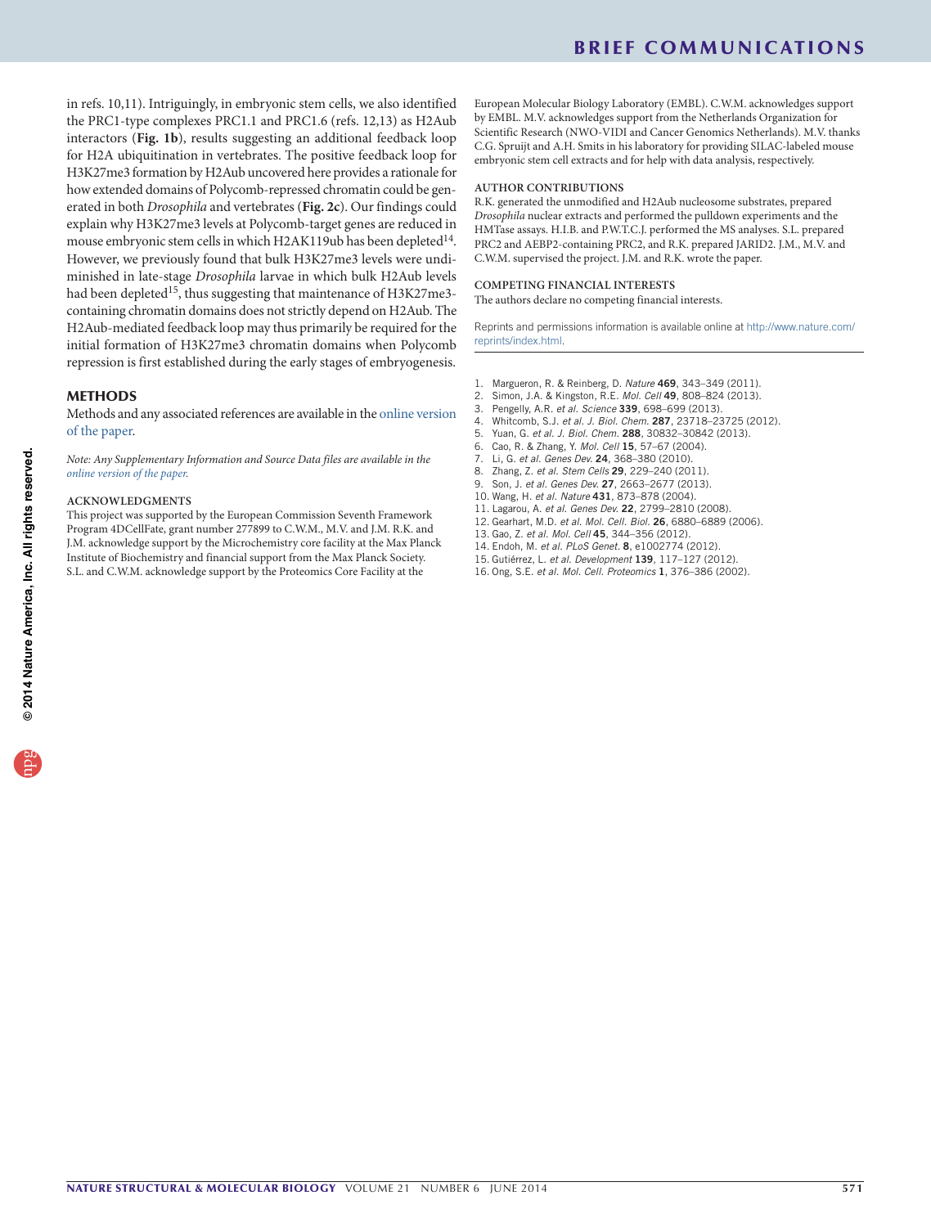in refs. 10,11). Intriguingly, in embryonic stem cells, we also identified the PRC1-type complexes PRC1.1 and PRC1.6 (refs. 12,13) as H2Aub interactors (**Fig. 1b**), results suggesting an additional feedback loop for H2A ubiquitination in vertebrates. The positive feedback loop for H3K27me3 formation by H2Aub uncovered here provides a rationale for how extended domains of Polycomb-repressed chromatin could be generated in both *Drosophila* and vertebrates (**Fig. 2c**). Our findings could explain why H3K27me3 levels at Polycomb-target genes are reduced in mouse embryonic stem cells in which H2AK119ub has been depleted<sup>14</sup>. However, we previously found that bulk H3K27me3 levels were undiminished in late-stage *Drosophila* larvae in which bulk H2Aub levels had been depleted<sup>15</sup>, thus suggesting that maintenance of H3K27me3containing chromatin domains does not strictly depend on H2Aub. The H2Aub-mediated feedback loop may thus primarily be required for the initial formation of H3K27me3 chromatin domains when Polycomb repression is first established during the early stages of embryogenesis.

## METHODS

Methods and any associated references are available in the [online version](http://www.nature.com/doifinder/10.1038/nsmb.2833) [of the paper](http://www.nature.com/doifinder/10.1038/nsmb.2833).

*Note: Any Supplementary Information and Source Data files are available in the [online version of the paper.](http://www.nature.com/doifinder/10.1038/nsmb.2833)*

#### **ACKNOWLEDGMENTS**

This project was supported by the European Commission Seventh Framework Program 4DCellFate, grant number 277899 to C.W.M., M.V. and J.M. R.K. and J.M. acknowledge support by the Microchemistry core facility at the Max Planck Institute of Biochemistry and financial support from the Max Planck Society. S.L. and C.W.M. acknowledge support by the Proteomics Core Facility at the

European Molecular Biology Laboratory (EMBL). C.W.M. acknowledges support by EMBL. M.V. acknowledges support from the Netherlands Organization for Scientific Research (NWO-VIDI and Cancer Genomics Netherlands). M.V. thanks C.G. Spruijt and A.H. Smits in his laboratory for providing SILAC-labeled mouse embryonic stem cell extracts and for help with data analysis, respectively.

#### **AUTHOR CONTRIBUTIONS**

R.K. generated the unmodified and H2Aub nucleosome substrates, prepared *Drosophila* nuclear extracts and performed the pulldown experiments and the HMTase assays. H.I.B. and P.W.T.C.J. performed the MS analyses. S.L. prepared PRC2 and AEBP2-containing PRC2, and R.K. prepared JARID2. J.M., M.V. and C.W.M. supervised the project. J.M. and R.K. wrote the paper.

#### **COMPETING FINANCIAL INTERESTS**

The authors declare no competing financial interests.

Reprints and permissions information is available online at [http://www.nature.com/](http://www.nature.com/reprints/index.html) [reprints/index.html.](http://www.nature.com/reprints/index.html)

- 1. Margueron, R. & Reinberg, D. *Nature* 469, 343–349 (2011).
- 2. Simon, J.A. & Kingston, R.E. *Mol. Cell* 49, 808–824 (2013).
- 3. Pengelly, A.R. *et al. Science* 339, 698–699 (2013).
- 4. Whitcomb, S.J. *et al. J. Biol. Chem.* 287, 23718–23725 (2012).
- 5. Yuan, G. *et al. J. Biol. Chem.* 288, 30832–30842 (2013).
- 6. Cao, R. & Zhang, Y. *Mol. Cell* 15, 57–67 (2004).
- 7. Li, G. *et al. Genes Dev.* 24, 368–380 (2010).
- 8. Zhang, Z. *et al. Stem Cells* 29, 229–240 (2011).
- 9. Son, J. *et al. Genes Dev.* 27, 2663–2677 (2013).
- 10. Wang, H. *et al. Nature* 431, 873–878 (2004).
- 11. Lagarou, A. *et al. Genes Dev.* 22, 2799–2810 (2008).
- 12. Gearhart, M.D. *et al. Mol. Cell. Biol.* 26, 6880–6889 (2006).
- 13. Gao, Z. *et al. Mol. Cell* 45, 344–356 (2012).
- 14. Endoh, M. *et al. PLoS Genet.* 8, e1002774 (2012).
- 15. Gutiérrez, L. *et al. Development* 139, 117–127 (2012).
- 16. Ong, S.E. *et al. Mol. Cell. Proteomics* 1, 376–386 (2002).